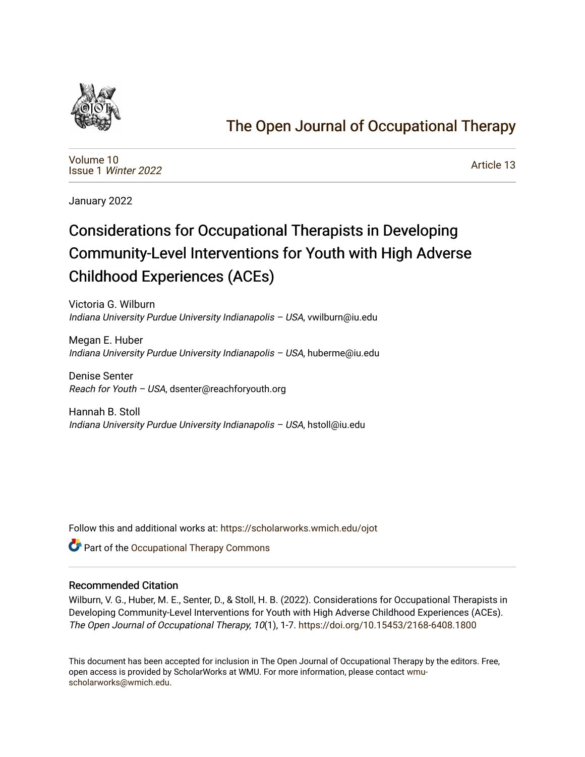

## [The Open Journal of Occupational Therapy](https://scholarworks.wmich.edu/ojot)

[Volume 10](https://scholarworks.wmich.edu/ojot/vol10) Issue 1 [Winter 2022](https://scholarworks.wmich.edu/ojot/vol10/iss1) 

[Article 13](https://scholarworks.wmich.edu/ojot/vol10/iss1/13) 

January 2022

# Considerations for Occupational Therapists in Developing Community-Level Interventions for Youth with High Adverse Childhood Experiences (ACEs)

Victoria G. Wilburn Indiana University Purdue University Indianapolis – USA, vwilburn@iu.edu

Megan E. Huber Indiana University Purdue University Indianapolis – USA, huberme@iu.edu

Denise Senter Reach for Youth – USA, dsenter@reachforyouth.org

Hannah B. Stoll Indiana University Purdue University Indianapolis – USA, hstoll@iu.edu

Follow this and additional works at: [https://scholarworks.wmich.edu/ojot](https://scholarworks.wmich.edu/ojot?utm_source=scholarworks.wmich.edu%2Fojot%2Fvol10%2Fiss1%2F13&utm_medium=PDF&utm_campaign=PDFCoverPages)

**C** Part of the Occupational Therapy Commons

#### Recommended Citation

Wilburn, V. G., Huber, M. E., Senter, D., & Stoll, H. B. (2022). Considerations for Occupational Therapists in Developing Community-Level Interventions for Youth with High Adverse Childhood Experiences (ACEs). The Open Journal of Occupational Therapy, 10(1), 1-7. <https://doi.org/10.15453/2168-6408.1800>

This document has been accepted for inclusion in The Open Journal of Occupational Therapy by the editors. Free, open access is provided by ScholarWorks at WMU. For more information, please contact [wmu](mailto:wmu-scholarworks@wmich.edu)[scholarworks@wmich.edu.](mailto:wmu-scholarworks@wmich.edu)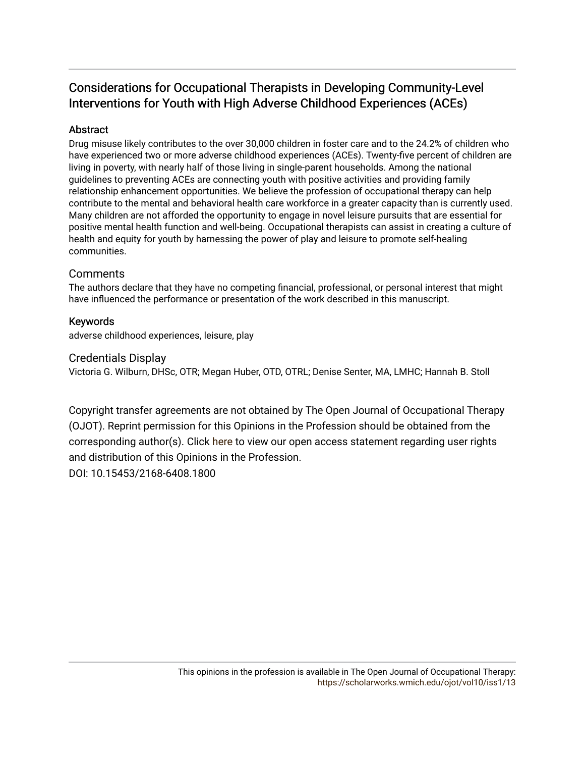## Considerations for Occupational Therapists in Developing Community-Level Interventions for Youth with High Adverse Childhood Experiences (ACEs)

## Abstract

Drug misuse likely contributes to the over 30,000 children in foster care and to the 24.2% of children who have experienced two or more adverse childhood experiences (ACEs). Twenty-five percent of children are living in poverty, with nearly half of those living in single-parent households. Among the national guidelines to preventing ACEs are connecting youth with positive activities and providing family relationship enhancement opportunities. We believe the profession of occupational therapy can help contribute to the mental and behavioral health care workforce in a greater capacity than is currently used. Many children are not afforded the opportunity to engage in novel leisure pursuits that are essential for positive mental health function and well-being. Occupational therapists can assist in creating a culture of health and equity for youth by harnessing the power of play and leisure to promote self-healing communities.

## **Comments**

The authors declare that they have no competing financial, professional, or personal interest that might have influenced the performance or presentation of the work described in this manuscript.

## Keywords

adverse childhood experiences, leisure, play

## Credentials Display

Victoria G. Wilburn, DHSc, OTR; Megan Huber, OTD, OTRL; Denise Senter, MA, LMHC; Hannah B. Stoll

Copyright transfer agreements are not obtained by The Open Journal of Occupational Therapy (OJOT). Reprint permission for this Opinions in the Profession should be obtained from the corresponding author(s). Click [here](https://scholarworks.wmich.edu/ojot/policies.html#rights) to view our open access statement regarding user rights and distribution of this Opinions in the Profession. DOI: 10.15453/2168-6408.1800

> This opinions in the profession is available in The Open Journal of Occupational Therapy: <https://scholarworks.wmich.edu/ojot/vol10/iss1/13>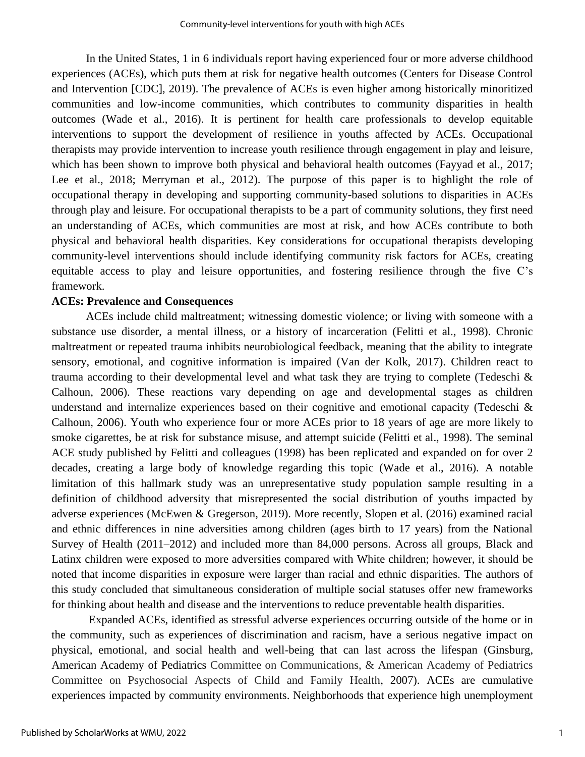In the United States, 1 in 6 individuals report having experienced four or more adverse childhood experiences (ACEs), which puts them at risk for negative health outcomes (Centers for Disease Control and Intervention [CDC], 2019). The prevalence of ACEs is even higher among historically minoritized communities and low-income communities, which contributes to community disparities in health outcomes (Wade et al., 2016). It is pertinent for health care professionals to develop equitable interventions to support the development of resilience in youths affected by ACEs. Occupational therapists may provide intervention to increase youth resilience through engagement in play and leisure, which has been shown to improve both physical and behavioral health outcomes (Fayyad et al., 2017; Lee et al., 2018; Merryman et al., 2012). The purpose of this paper is to highlight the role of occupational therapy in developing and supporting community-based solutions to disparities in ACEs through play and leisure. For occupational therapists to be a part of community solutions, they first need an understanding of ACEs, which communities are most at risk, and how ACEs contribute to both physical and behavioral health disparities. Key considerations for occupational therapists developing community-level interventions should include identifying community risk factors for ACEs, creating equitable access to play and leisure opportunities, and fostering resilience through the five C's framework.

#### **ACEs: Prevalence and Consequences**

ACEs include child maltreatment; witnessing domestic violence; or living with someone with a substance use disorder, a mental illness, or a history of incarceration (Felitti et al., 1998). Chronic maltreatment or repeated trauma inhibits neurobiological feedback, meaning that the ability to integrate sensory, emotional, and cognitive information is impaired (Van der Kolk, 2017). Children react to trauma according to their developmental level and what task they are trying to complete (Tedeschi  $\&$ Calhoun, 2006). These reactions vary depending on age and developmental stages as children understand and internalize experiences based on their cognitive and emotional capacity (Tedeschi  $\&$ Calhoun, 2006). Youth who experience four or more ACEs prior to 18 years of age are more likely to smoke cigarettes, be at risk for substance misuse, and attempt suicide (Felitti et al., 1998). The seminal ACE study published by Felitti and colleagues (1998) has been replicated and expanded on for over 2 decades, creating a large body of knowledge regarding this topic (Wade et al., 2016). A notable limitation of this hallmark study was an unrepresentative study population sample resulting in a definition of childhood adversity that misrepresented the social distribution of youths impacted by adverse experiences (McEwen & Gregerson, 2019). More recently, Slopen et al. (2016) examined racial and ethnic differences in nine adversities among children (ages birth to 17 years) from the National Survey of Health (2011–2012) and included more than 84,000 persons. Across all groups, Black and Latinx children were exposed to more adversities compared with White children; however, it should be noted that income disparities in exposure were larger than racial and ethnic disparities. The authors of this study concluded that simultaneous consideration of multiple social statuses offer new frameworks for thinking about health and disease and the interventions to reduce preventable health disparities.

Expanded ACEs, identified as stressful adverse experiences occurring outside of the home or in the community, such as experiences of discrimination and racism, have a serious negative impact on physical, emotional, and social health and well-being that can last across the lifespan (Ginsburg, American Academy of Pediatrics Committee on Communications, & American Academy of Pediatrics Committee on Psychosocial Aspects of Child and Family Health, 2007). ACEs are cumulative experiences impacted by community environments. Neighborhoods that experience high unemployment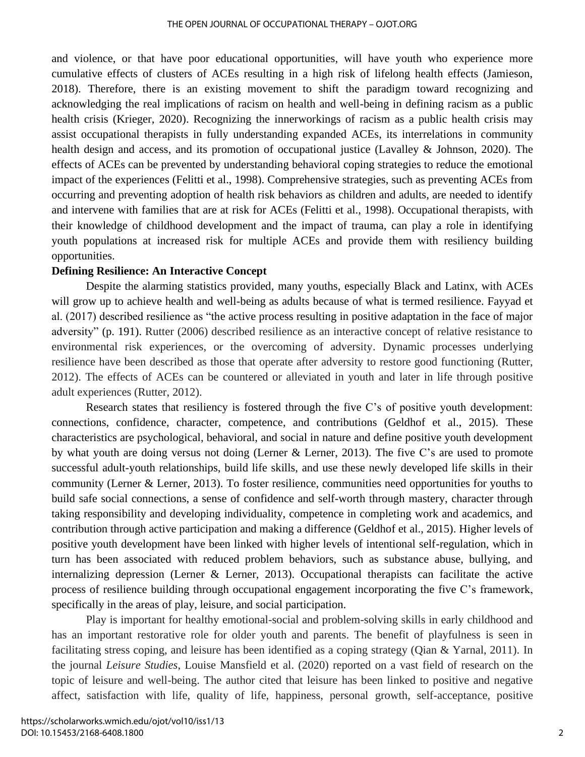and violence, or that have poor educational opportunities, will have youth who experience more cumulative effects of clusters of ACEs resulting in a high risk of lifelong health effects (Jamieson, 2018). Therefore, there is an existing movement to shift the paradigm toward recognizing and acknowledging the real implications of racism on health and well-being in defining racism as a public health crisis (Krieger, 2020). Recognizing the innerworkings of racism as a public health crisis may assist occupational therapists in fully understanding expanded ACEs, its interrelations in community health design and access, and its promotion of occupational justice (Lavalley & Johnson, 2020). The effects of ACEs can be prevented by understanding behavioral coping strategies to reduce the emotional impact of the experiences (Felitti et al., 1998). Comprehensive strategies, such as preventing ACEs from occurring and preventing adoption of health risk behaviors as children and adults, are needed to identify and intervene with families that are at risk for ACEs (Felitti et al., 1998). Occupational therapists, with their knowledge of childhood development and the impact of trauma, can play a role in identifying youth populations at increased risk for multiple ACEs and provide them with resiliency building opportunities.

#### **Defining Resilience: An Interactive Concept**

Despite the alarming statistics provided, many youths, especially Black and Latinx, with ACEs will grow up to achieve health and well-being as adults because of what is termed resilience. Fayyad et al. (2017) described resilience as "the active process resulting in positive adaptation in the face of major adversity" (p. 191). Rutter (2006) described resilience as an interactive concept of relative resistance to environmental risk experiences, or the overcoming of adversity. Dynamic processes underlying resilience have been described as those that operate after adversity to restore good functioning (Rutter, 2012). The effects of ACEs can be countered or alleviated in youth and later in life through positive adult experiences (Rutter, 2012).

Research states that resiliency is fostered through the five C's of positive youth development: connections, confidence, character, competence, and contributions (Geldhof et al., 2015). These characteristics are psychological, behavioral, and social in nature and define positive youth development by what youth are doing versus not doing (Lerner & Lerner, 2013). The five C's are used to promote successful adult-youth relationships, build life skills, and use these newly developed life skills in their community (Lerner & Lerner, 2013). To foster resilience, communities need opportunities for youths to build safe social connections, a sense of confidence and self-worth through mastery, character through taking responsibility and developing individuality, competence in completing work and academics, and contribution through active participation and making a difference (Geldhof et al., 2015). Higher levels of positive youth development have been linked with higher levels of intentional self-regulation, which in turn has been associated with reduced problem behaviors, such as substance abuse, bullying, and internalizing depression (Lerner & Lerner, 2013). Occupational therapists can facilitate the active process of resilience building through occupational engagement incorporating the five C's framework, specifically in the areas of play, leisure, and social participation.

Play is important for healthy emotional-social and problem-solving skills in early childhood and has an important restorative role for older youth and parents. The benefit of playfulness is seen in facilitating stress coping, and leisure has been identified as a coping strategy (Qian & Yarnal, 2011). In the journal *Leisure Studies*, Louise Mansfield et al. (2020) reported on a vast field of research on the topic of leisure and well-being. The author cited that leisure has been linked to positive and negative affect, satisfaction with life, quality of life, happiness, personal growth, self-acceptance, positive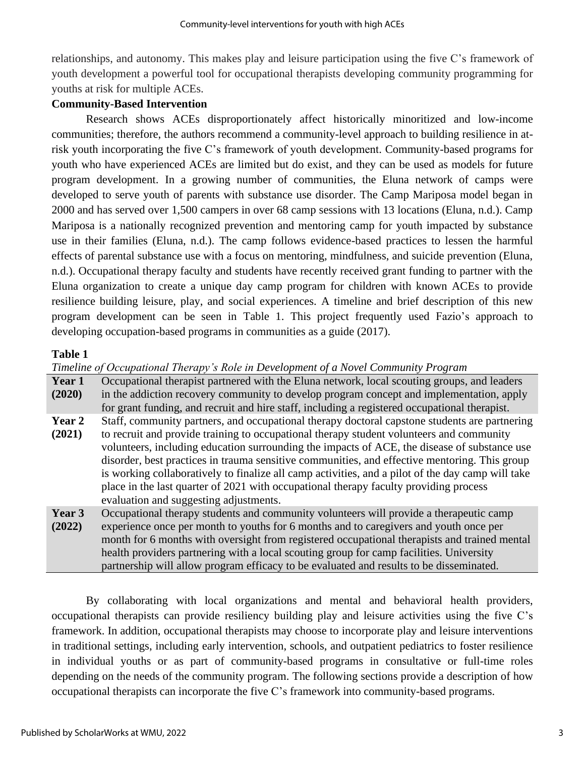relationships, and autonomy. This makes play and leisure participation using the five C's framework of youth development a powerful tool for occupational therapists developing community programming for youths at risk for multiple ACEs.

## **Community-Based Intervention**

Research shows ACEs disproportionately affect historically minoritized and low-income communities; therefore, the authors recommend a community-level approach to building resilience in atrisk youth incorporating the five C's framework of youth development. Community-based programs for youth who have experienced ACEs are limited but do exist, and they can be used as models for future program development. In a growing number of communities, the Eluna network of camps were developed to serve youth of parents with substance use disorder. The Camp Mariposa model began in 2000 and has served over 1,500 campers in over 68 camp sessions with 13 locations (Eluna, n.d.). Camp Mariposa is a nationally recognized prevention and mentoring camp for youth impacted by substance use in their families (Eluna, n.d.). The camp follows evidence-based practices to lessen the harmful effects of parental substance use with a focus on mentoring, mindfulness, and suicide prevention (Eluna, n.d.). Occupational therapy faculty and students have recently received grant funding to partner with the Eluna organization to create a unique day camp program for children with known ACEs to provide resilience building leisure, play, and social experiences. A timeline and brief description of this new program development can be seen in Table 1. This project frequently used Fazio's approach to developing occupation-based programs in communities as a guide (2017).

## **Table 1**

*Timeline of Occupational Therapy's Role in Development of a Novel Community Program* **Year 1 (2020)** Occupational therapist partnered with the Eluna network, local scouting groups, and leaders in the addiction recovery community to develop program concept and implementation, apply for grant funding, and recruit and hire staff, including a registered occupational therapist. **Year 2 (2021)** Staff, community partners, and occupational therapy doctoral capstone students are partnering to recruit and provide training to occupational therapy student volunteers and community volunteers, including education surrounding the impacts of ACE, the disease of substance use disorder, best practices in trauma sensitive communities, and effective mentoring. This group is working collaboratively to finalize all camp activities, and a pilot of the day camp will take place in the last quarter of 2021 with occupational therapy faculty providing process evaluation and suggesting adjustments. **Year 3 (2022)** Occupational therapy students and community volunteers will provide a therapeutic camp experience once per month to youths for 6 months and to caregivers and youth once per month for 6 months with oversight from registered occupational therapists and trained mental health providers partnering with a local scouting group for camp facilities. University partnership will allow program efficacy to be evaluated and results to be disseminated.

By collaborating with local organizations and mental and behavioral health providers, occupational therapists can provide resiliency building play and leisure activities using the five C's framework. In addition, occupational therapists may choose to incorporate play and leisure interventions in traditional settings, including early intervention, schools, and outpatient pediatrics to foster resilience in individual youths or as part of community-based programs in consultative or full-time roles depending on the needs of the community program. The following sections provide a description of how occupational therapists can incorporate the five C's framework into community-based programs.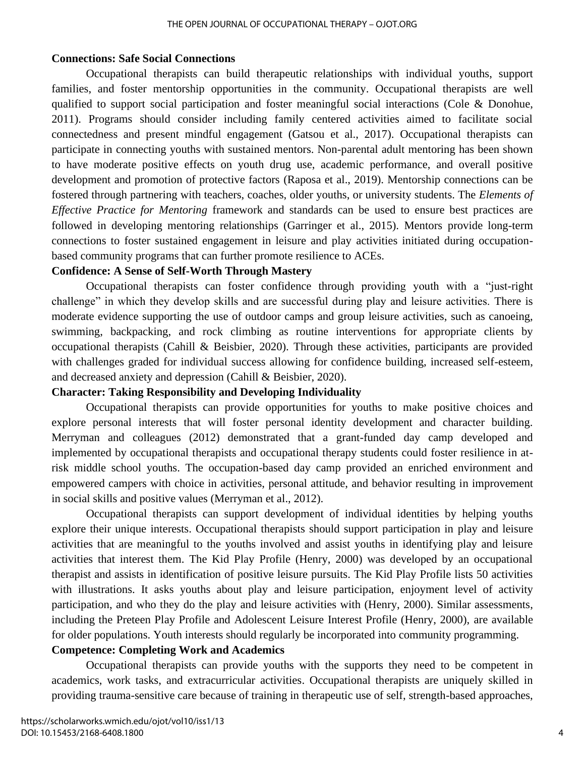#### **Connections: Safe Social Connections**

Occupational therapists can build therapeutic relationships with individual youths, support families, and foster mentorship opportunities in the community. Occupational therapists are well qualified to support social participation and foster meaningful social interactions (Cole & Donohue, 2011). Programs should consider including family centered activities aimed to facilitate social connectedness and present mindful engagement (Gatsou et al., 2017). Occupational therapists can participate in connecting youths with sustained mentors. Non-parental adult mentoring has been shown to have moderate positive effects on youth drug use, academic performance, and overall positive development and promotion of protective factors (Raposa et al., 2019). Mentorship connections can be fostered through partnering with teachers, coaches, older youths, or university students. The *Elements of Effective Practice for Mentoring* framework and standards can be used to ensure best practices are followed in developing mentoring relationships (Garringer et al., 2015). Mentors provide long-term connections to foster sustained engagement in leisure and play activities initiated during occupationbased community programs that can further promote resilience to ACEs.

#### **Confidence: A Sense of Self-Worth Through Mastery**

Occupational therapists can foster confidence through providing youth with a "just-right challenge" in which they develop skills and are successful during play and leisure activities. There is moderate evidence supporting the use of outdoor camps and group leisure activities, such as canoeing, swimming, backpacking, and rock climbing as routine interventions for appropriate clients by occupational therapists (Cahill & Beisbier, 2020). Through these activities, participants are provided with challenges graded for individual success allowing for confidence building, increased self-esteem, and decreased anxiety and depression (Cahill & Beisbier, 2020).

#### **Character: Taking Responsibility and Developing Individuality**

Occupational therapists can provide opportunities for youths to make positive choices and explore personal interests that will foster personal identity development and character building. Merryman and colleagues (2012) demonstrated that a grant-funded day camp developed and implemented by occupational therapists and occupational therapy students could foster resilience in atrisk middle school youths. The occupation-based day camp provided an enriched environment and empowered campers with choice in activities, personal attitude, and behavior resulting in improvement in social skills and positive values (Merryman et al., 2012).

Occupational therapists can support development of individual identities by helping youths explore their unique interests. Occupational therapists should support participation in play and leisure activities that are meaningful to the youths involved and assist youths in identifying play and leisure activities that interest them. The Kid Play Profile (Henry, 2000) was developed by an occupational therapist and assists in identification of positive leisure pursuits. The Kid Play Profile lists 50 activities with illustrations. It asks youths about play and leisure participation, enjoyment level of activity participation, and who they do the play and leisure activities with (Henry, 2000). Similar assessments, including the Preteen Play Profile and Adolescent Leisure Interest Profile (Henry, 2000), are available for older populations. Youth interests should regularly be incorporated into community programming.

### **Competence: Completing Work and Academics**

Occupational therapists can provide youths with the supports they need to be competent in academics, work tasks, and extracurricular activities. Occupational therapists are uniquely skilled in providing trauma-sensitive care because of training in therapeutic use of self, strength-based approaches,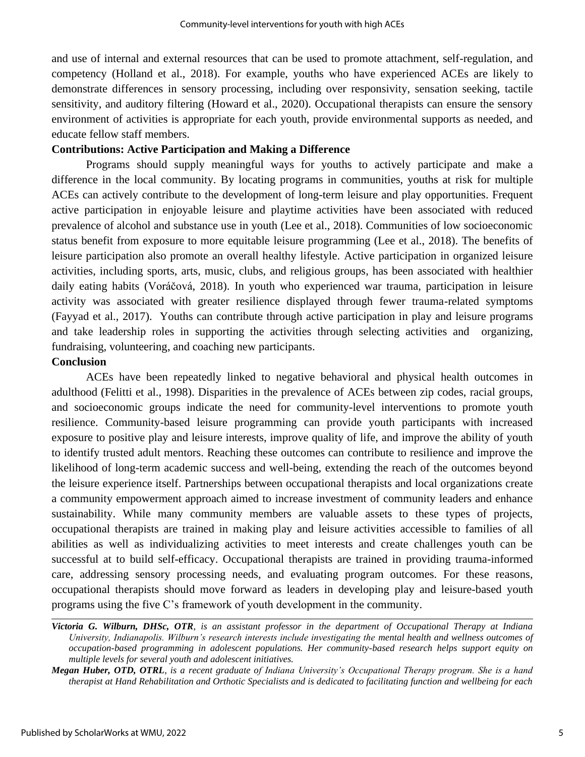and use of internal and external resources that can be used to promote attachment, self-regulation, and competency (Holland et al., 2018). For example, youths who have experienced ACEs are likely to demonstrate differences in sensory processing, including over responsivity, sensation seeking, tactile sensitivity, and auditory filtering (Howard et al., 2020). Occupational therapists can ensure the sensory environment of activities is appropriate for each youth, provide environmental supports as needed, and educate fellow staff members.

### **Contributions: Active Participation and Making a Difference**

Programs should supply meaningful ways for youths to actively participate and make a difference in the local community. By locating programs in communities, youths at risk for multiple ACEs can actively contribute to the development of long-term leisure and play opportunities. Frequent active participation in enjoyable leisure and playtime activities have been associated with reduced prevalence of alcohol and substance use in youth (Lee et al., 2018). Communities of low socioeconomic status benefit from exposure to more equitable leisure programming (Lee et al., 2018). The benefits of leisure participation also promote an overall healthy lifestyle. Active participation in organized leisure activities, including sports, arts, music, clubs, and religious groups, has been associated with healthier daily eating habits (Voráčová, 2018). In youth who experienced war trauma, participation in leisure activity was associated with greater resilience displayed through fewer trauma-related symptoms (Fayyad et al., 2017). Youths can contribute through active participation in play and leisure programs and take leadership roles in supporting the activities through selecting activities and organizing, fundraising, volunteering, and coaching new participants.

## **Conclusion**

ACEs have been repeatedly linked to negative behavioral and physical health outcomes in adulthood (Felitti et al., 1998). Disparities in the prevalence of ACEs between zip codes, racial groups, and socioeconomic groups indicate the need for community-level interventions to promote youth resilience. Community-based leisure programming can provide youth participants with increased exposure to positive play and leisure interests, improve quality of life, and improve the ability of youth to identify trusted adult mentors. Reaching these outcomes can contribute to resilience and improve the likelihood of long-term academic success and well-being, extending the reach of the outcomes beyond the leisure experience itself. Partnerships between occupational therapists and local organizations create a community empowerment approach aimed to increase investment of community leaders and enhance sustainability. While many community members are valuable assets to these types of projects, occupational therapists are trained in making play and leisure activities accessible to families of all abilities as well as individualizing activities to meet interests and create challenges youth can be successful at to build self-efficacy. Occupational therapists are trained in providing trauma-informed care, addressing sensory processing needs, and evaluating program outcomes. For these reasons, occupational therapists should move forward as leaders in developing play and leisure-based youth programs using the five C's framework of youth development in the community.

*Victoria G. Wilburn, DHSc, OTR, is an assistant professor in the department of Occupational Therapy at Indiana University, Indianapolis. Wilburn's research interests include investigating the mental health and wellness outcomes of occupation-based programming in adolescent populations. Her community-based research helps support equity on multiple levels for several youth and adolescent initiatives.*

*Megan Huber, OTD, OTRL, is a recent graduate of Indiana University's Occupational Therapy program. She is a hand therapist at Hand Rehabilitation and Orthotic Specialists and is dedicated to facilitating function and wellbeing for each*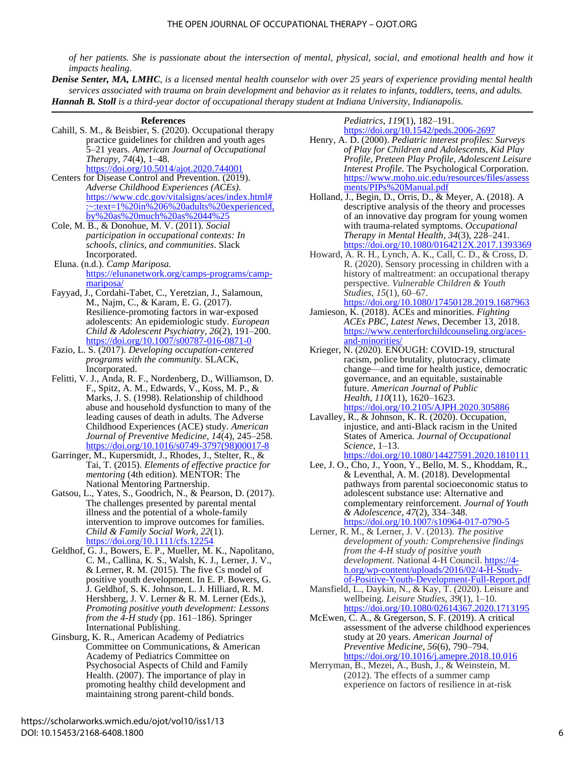*of her patients. She is passionate about the intersection of mental, physical, social, and emotional health and how it impacts healing.*

*Denise Senter, MA, LMHC, is a licensed mental health counselor with over 25 years of experience providing mental health services associated with trauma on brain development and behavior as it relates to infants, toddlers, teens, and adults. Hannah B. Stoll is a third-year doctor of occupational therapy student at Indiana University, Indianapolis.*

#### **References**

- Cahill, S. M., & Beisbier, S. (2020). Occupational therapy practice guidelines for children and youth ages 5–21 years. *American Journal of Occupational Therapy*, *74*(4), 1–48. <https://doi.org/10.5014/ajot.2020.744001>
- Centers for Disease Control and Prevention. (2019). *Adverse Childhood Experiences (ACEs).* [https://www.cdc.gov/vitalsigns/aces/index.html#](https://www.cdc.gov/vitalsigns/aces/index.html#:~:text=1%20in%206%20adults%20experienced,by%20as%20much%20as%2044%25) [:~:text=1%20in%206%20adults%20experienced,](https://www.cdc.gov/vitalsigns/aces/index.html#:~:text=1%20in%206%20adults%20experienced,by%20as%20much%20as%2044%25) [by%20as%20much%20as%2044%25](https://www.cdc.gov/vitalsigns/aces/index.html#:~:text=1%20in%206%20adults%20experienced,by%20as%20much%20as%2044%25)
- Cole, M. B., & Donohue, M. V. (2011). *Social participation in occupational contexts: In schools, clinics, and communities*. Slack Incorporated.
- Eluna. (n.d.). *Camp Mariposa.*  [https://elunanetwork.org/camps-programs/camp](https://elunanetwork.org/camps-programs/camp-mariposa/)[mariposa/](https://elunanetwork.org/camps-programs/camp-mariposa/)
- Fayyad, J., Cordahi-Tabet, C., Yeretzian, J., Salamoun, M., Najm, C., & Karam, E. G. (2017). Resilience-promoting factors in war-exposed adolescents: An epidemiologic study. *European Child & Adolescent Psychiatry*, *26*(2), 191–200. <https://doi.org/10.1007/s00787-016-0871-0>
- Fazio, L. S. (2017). *Developing occupation-centered programs with the community.* SLACK, Incorporated.
- Felitti, V. J., Anda, R. F., Nordenberg, D., Williamson, D. F., Spitz, A. M., Edwards, V., Koss, M. P., & Marks, J. S. (1998). Relationship of childhood abuse and household dysfunction to many of the leading causes of death in adults. The Adverse Childhood Experiences (ACE) study. *American Journal of Preventive Medicine*, *14*(4), 245–258. [https://doi.org/10.1016/s0749-3797\(98\)00017-8](https://doi.org/10.1016/s0749-3797(98)00017-8)
- Garringer, M., Kupersmidt, J., Rhodes, J., Stelter, R., & Tai, T. (2015). *Elements of effective practice for mentoring* (4th edition). MENTOR: The National Mentoring Partnership.
- Gatsou, L., Yates, S., Goodrich, N., & Pearson, D. (2017). The challenges presented by parental mental illness and the potential of a whole-family intervention to improve outcomes for families. *Child & Family Social Work*, *22*(1). <https://doi.org/10.1111/cfs.12254>
- Geldhof, G. J., Bowers, E. P., Mueller, M. K., Napolitano, C. M., Callina, K. S., Walsh, K. J., Lerner, J. V., & Lerner, R. M. (2015). The five Cs model of positive youth development. In E. P. Bowers, G. J. Geldhof, S. K. Johnson, L. J. Hilliard, R. M. Hershberg, J. V. Lerner & R. M. Lerner (Eds.), *Promoting positive youth development: Lessons from the 4-H study* (pp. 161–186). Springer International Publishing.
- Ginsburg, K. R., American Academy of Pediatrics Committee on Communications, & American Academy of Pediatrics Committee on Psychosocial Aspects of Child and Family Health. (2007). The importance of play in promoting healthy child development and maintaining strong parent-child bonds.

#### *Pediatrics*, *119*(1), 182–191.

- <https://doi.org/10.1542/peds.2006-2697> Henry, A. D. (2000). *Pediatric interest profiles: Surveys of Play for Children and Adolescents, Kid Play Profile, Preteen Play Profile, Adolescent Leisure Interest Profile.* The Psychological Corporation. [https://www.moho.uic.edu/resources/files/assess](https://www.moho.uic.edu/resources/files/assessments/PIPs%20Manual.pdf) [ments/PIPs%20Manual.pdf](https://www.moho.uic.edu/resources/files/assessments/PIPs%20Manual.pdf)
- Holland, J., Begin, D., Orris, D., & Meyer, A. (2018). A descriptive analysis of the theory and processes of an innovative day program for young women with trauma-related symptoms. *Occupational Therapy in Mental Health*, *34*(3), 228–241. <https://doi.org/10.1080/0164212X.2017.1393369>
- Howard, A. R. H., Lynch, A. K., Call, C. D., & Cross, D. R. (2020). Sensory processing in children with a history of maltreatment: an occupational therapy perspective. *Vulnerable Children & Youth Studies*, *15*(1), 60–67. <https://doi.org/10.1080/17450128.2019.1687963>
- Jamieson, K. (2018). ACEs and minorities. *Fighting ACEs PBC, Latest News*, December 13, 2018. [https://www.centerforchildcounseling.org/aces](https://www.centerforchildcounseling.org/aces-and-minorities/)[and-minorities/](https://www.centerforchildcounseling.org/aces-and-minorities/)
- Krieger, N. (2020). ENOUGH: COVID-19, structural racism, police brutality, plutocracy, climate change—and time for health justice, democratic governance, and an equitable, sustainable future. *American Journal of Public Health*, *110*(11), 1620–1623. <https://doi.org/10.2105/AJPH.2020.305886>
- Lavalley, R., & Johnson, K. R. (2020). Occupation, injustice, and anti-Black racism in the United States of America. *Journal of Occupational Science*, 1–13. <https://doi.org/10.1080/14427591.2020.1810111>
- Lee, J. O., Cho, J., Yoon, Y., Bello, M. S., Khoddam, R., & Leventhal, A. M. (2018). Developmental pathways from parental socioeconomic status to adolescent substance use: Alternative and complementary reinforcement. *Journal of Youth & Adolescence*, *47*(2), 334–348. <https://doi.org/10.1007/s10964-017-0790-5>
- Lerner, R. M., & Lerner, J. V. (2013). *The positive development of youth: Comprehensive findings from the 4-H study of positive youth development*. National 4-H Council. [https://4](https://4-h.org/wp-content/uploads/2016/02/4-H-Study-of-Positive-Youth-Development-Full-Report.pdf) [h.org/wp-content/uploads/2016/02/4-H-Study](https://4-h.org/wp-content/uploads/2016/02/4-H-Study-of-Positive-Youth-Development-Full-Report.pdf)[of-Positive-Youth-Development-Full-Report.pdf](https://4-h.org/wp-content/uploads/2016/02/4-H-Study-of-Positive-Youth-Development-Full-Report.pdf)
- Mansfield, L., Daykin, N., & Kay, T. (2020). Leisure and wellbeing. *Leisure Studies*, *39*(1), 1–10. <https://doi.org/10.1080/02614367.2020.1713195>
- McEwen, C. A., & Gregerson, S. F. (2019). A critical assessment of the adverse childhood experiences study at 20 years. *American Journal of Preventive Medicine*, *56*(6), 790–794. <https://doi.org/10.1016/j.amepre.2018.10.016>
- Merryman, B., Mezei, A., Bush, J., & Weinstein, M. (2012). The effects of a summer camp experience on factors of resilience in at-risk